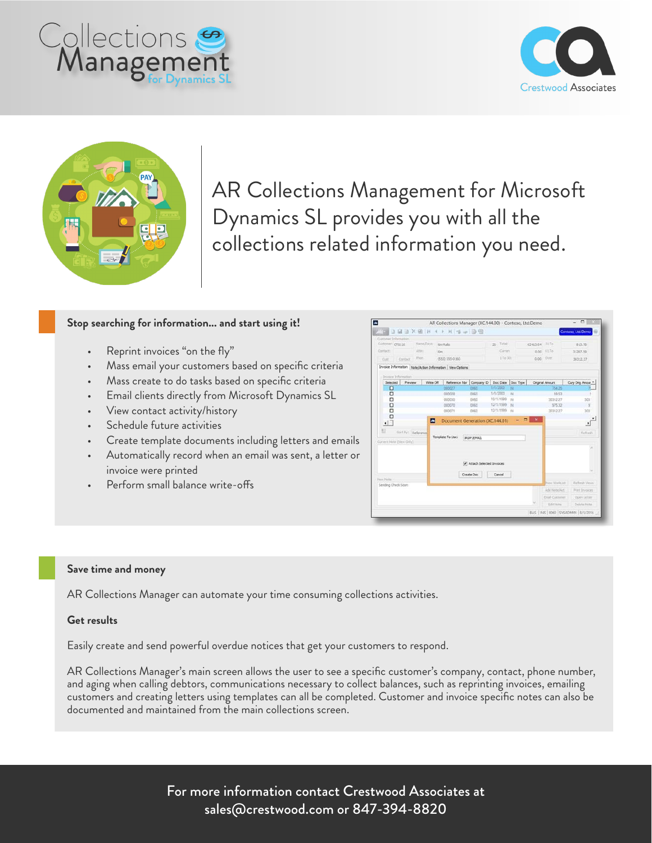





AR Collections Management for Microsoft Dynamics SL provides you with all the collections related information you need.

# **Stop searching for information... and start using it!**

- Reprint invoices "on the fly"
- Mass email your customers based on specific criteria
- Mass create to do tasks based on specific criteria
- Email clients directly from Microsoft Dynamics SL
- View contact activity/history
- Schedule future activities
- Create template documents including letters and emails
- Automatically record when an email was sent, a letter or invoice were printed
- Perform small balance write-offs



#### **Save time and money**

AR Collections Manager can automate your time consuming collections activities.

## **Get results**

Easily create and send powerful overdue notices that get your customers to respond.

AR Collections Manager's main screen allows the user to see a specific customer's company, contact, phone number, and aging when calling debtors, communications necessary to collect balances, such as reprinting invoices, emailing customers and creating letters using templates can all be completed. Customer and invoice specific notes can also be documented and maintained from the main collections screen.

> For more information contact Crestwood Associates at sales@crestwood.com or 847-394-8820